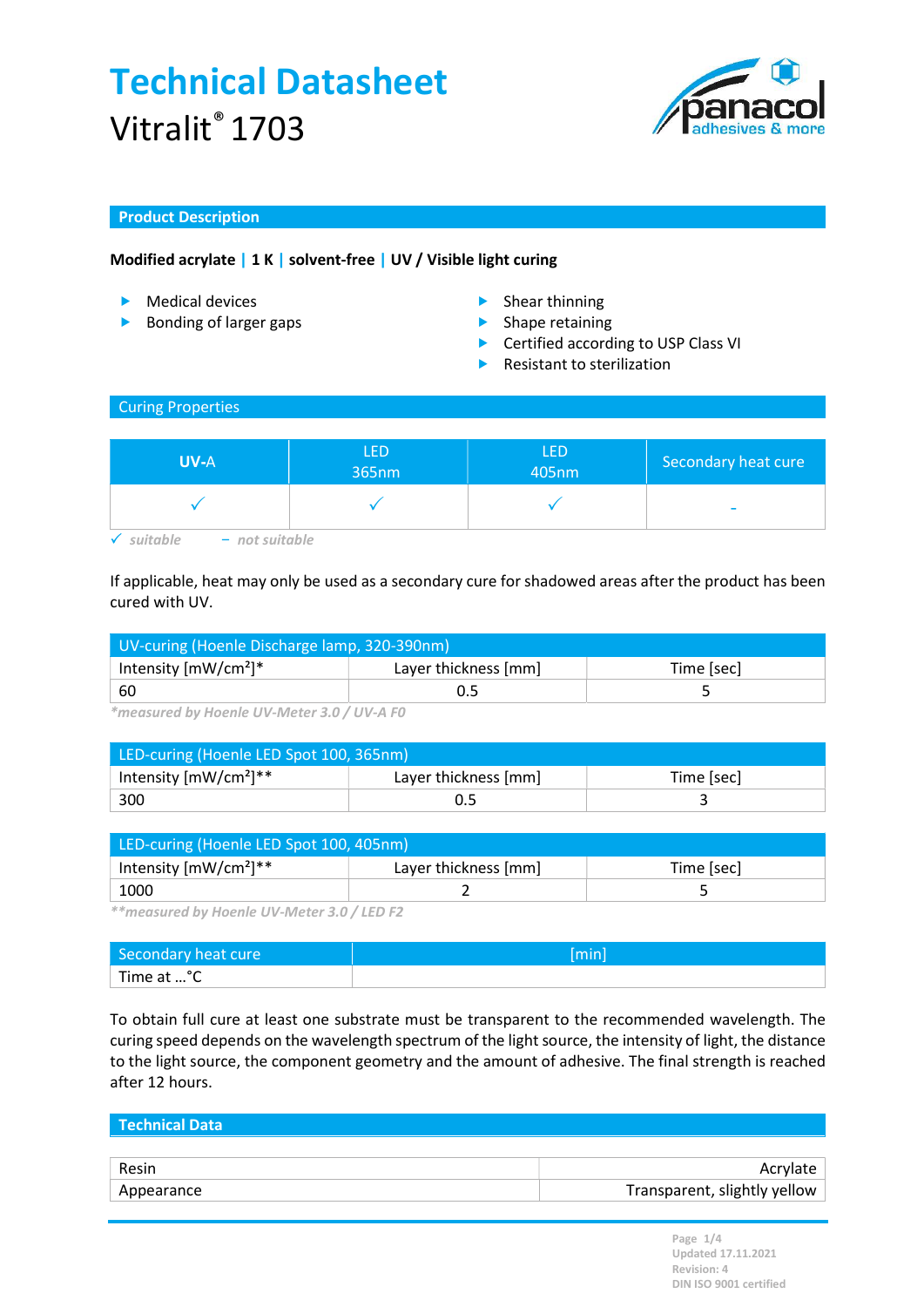

### Product Description

### Modified acrylate | 1 K | solvent-free | UV / Visible light curing

- Medical devices **Shear thinning**
- **Bonding of larger gaps** Shape retaining
- -
	- ▶ Certified according to USP Class VI
	- Resistant to sterilization

#### Curing Properties

| <b>UV-A</b> | <b>LED</b><br>365nm | LED<br>405nm | Secondary heat cure |
|-------------|---------------------|--------------|---------------------|
|             |                     |              | -                   |

 $\checkmark$  suitable  $-$  not suitable

If applicable, heat may only be used as a secondary cure for shadowed areas after the product has been cured with UV.

| UV-curing (Hoenle Discharge lamp, 320-390nm) |                                    |  |  |
|----------------------------------------------|------------------------------------|--|--|
| Intensity $[mW/cm^2]^*$                      | Layer thickness [mm]<br>Time [sec] |  |  |
| ' 60                                         |                                    |  |  |

\*measured by Hoenle UV-Meter 3.0 / UV-A F0

| LED-curing (Hoenle LED Spot 100, 365nm) |                      |            |  |
|-----------------------------------------|----------------------|------------|--|
| Intensity $[mW/cm^2]^{**}$              | Layer thickness [mm] | Time [sec] |  |
| 300                                     |                      |            |  |

| LED-curing (Hoenle LED Spot 100, 405nm) |                      |            |  |
|-----------------------------------------|----------------------|------------|--|
| Intensity $[mW/cm^2]^{**}$              | Layer thickness [mm] | Time [sec] |  |
| 1000                                    |                      |            |  |

\*\*measured by Hoenle UV-Meter 3.0 / LED F2

| Secondary heat cure    | [min] |
|------------------------|-------|
| Time at <sup>o</sup> C |       |

To obtain full cure at least one substrate must be transparent to the recommended wavelength. The curing speed depends on the wavelength spectrum of the light source, the intensity of light, the distance to the light source, the component geometry and the amount of adhesive. The final strength is reached after 12 hours.

## Technical Data

| Resin      | Acrylate                     |
|------------|------------------------------|
| Appearance | Transparent, slightly yellow |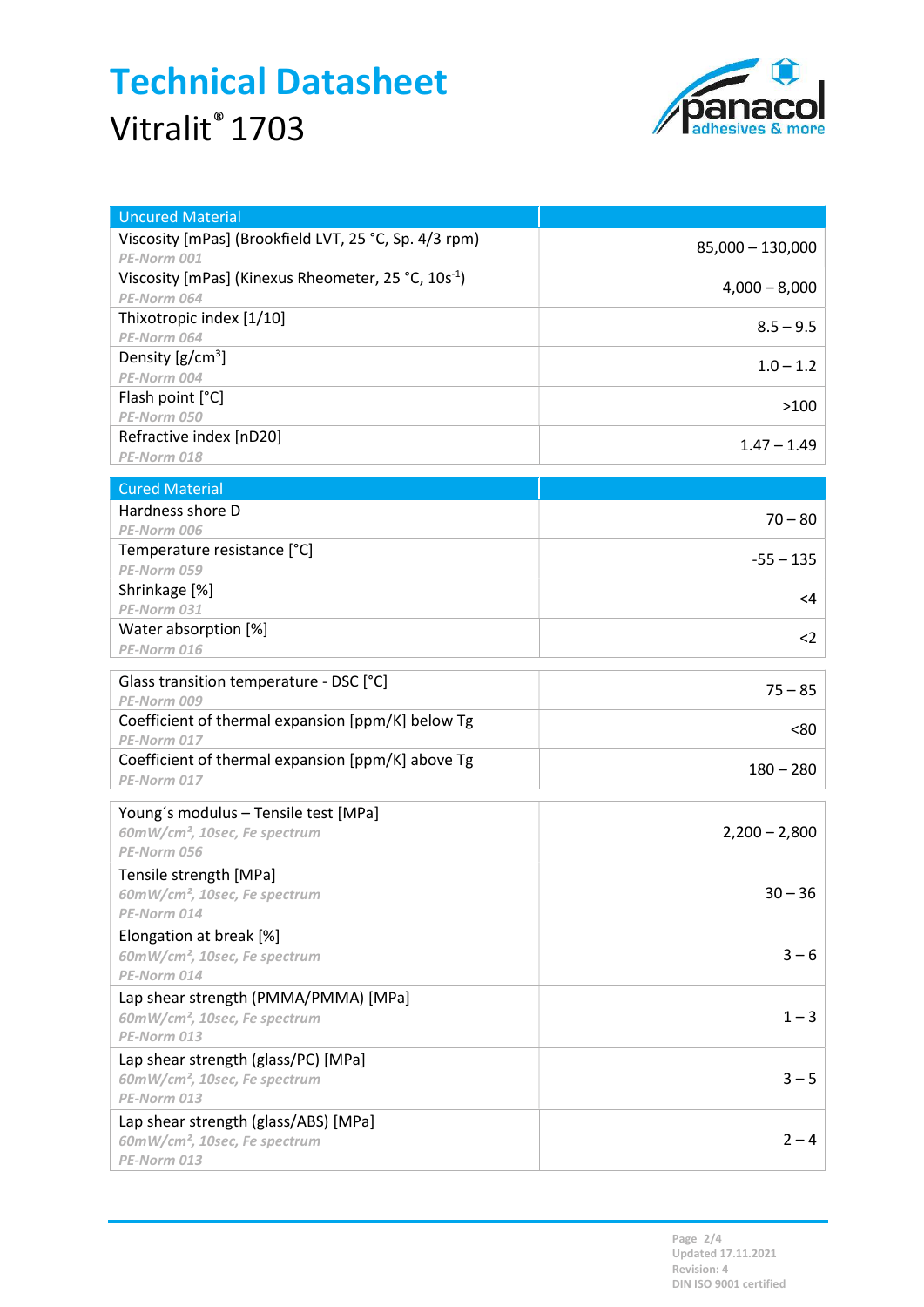

| <b>Uncured Material</b>                                  |                    |
|----------------------------------------------------------|--------------------|
| Viscosity [mPas] (Brookfield LVT, 25 °C, Sp. 4/3 rpm)    | $85,000 - 130,000$ |
| PE-Norm 001                                              |                    |
| Viscosity [mPas] (Kinexus Rheometer, 25 °C, $10s^{-1}$ ) | $4,000 - 8,000$    |
| PE-Norm 064                                              |                    |
| Thixotropic index [1/10]                                 | $8.5 - 9.5$        |
| PE-Norm 064                                              |                    |
| Density $[g/cm^3]$                                       | $1.0 - 1.2$        |
| PE-Norm 004                                              |                    |
| Flash point [°C]                                         | >100               |
| PE-Norm 050                                              |                    |
| Refractive index [nD20]                                  | $1.47 - 1.49$      |
| PE-Norm 018                                              |                    |
| <b>Cured Material</b>                                    |                    |
| Hardness shore D                                         |                    |
| PE-Norm 006                                              | $70 - 80$          |
| Temperature resistance [°C]                              | $-55 - 135$        |
| PE-Norm 059                                              |                    |
| Shrinkage [%]                                            | <4                 |
| PE-Norm 031                                              |                    |
| Water absorption [%]                                     | $2$                |
| PE-Norm 016                                              |                    |
| Glass transition temperature - DSC [°C]                  |                    |
| PE-Norm 009                                              | $75 - 85$          |
| Coefficient of thermal expansion [ppm/K] below Tg        | <80                |
| PE-Norm 017                                              |                    |
| Coefficient of thermal expansion [ppm/K] above Tg        | $180 - 280$        |
| PE-Norm 017                                              |                    |
| Young's modulus - Tensile test [MPa]                     |                    |
| 60mW/cm <sup>2</sup> , 10sec, Fe spectrum                | $2,200 - 2,800$    |
| PE-Norm 056                                              |                    |
| Tensile strength [MPa]                                   |                    |
| 60mW/cm <sup>2</sup> , 10sec, Fe spectrum                | $30 - 36$          |
| PE-Norm 014                                              |                    |
| Elongation at break [%]                                  |                    |
| 60mW/cm <sup>2</sup> , 10sec, Fe spectrum                | $3 - 6$            |
| PE-Norm 014                                              |                    |
| Lap shear strength (PMMA/PMMA) [MPa]                     |                    |
| 60mW/cm <sup>2</sup> , 10sec, Fe spectrum                | $1 - 3$            |
| PE-Norm 013                                              |                    |
| Lap shear strength (glass/PC) [MPa]                      |                    |
| 60mW/cm <sup>2</sup> , 10sec, Fe spectrum                | $3 - 5$            |
| PE-Norm 013                                              |                    |
| Lap shear strength (glass/ABS) [MPa]                     |                    |
| 60mW/cm <sup>2</sup> , 10sec, Fe spectrum                | $2 - 4$            |
| PE-Norm 013                                              |                    |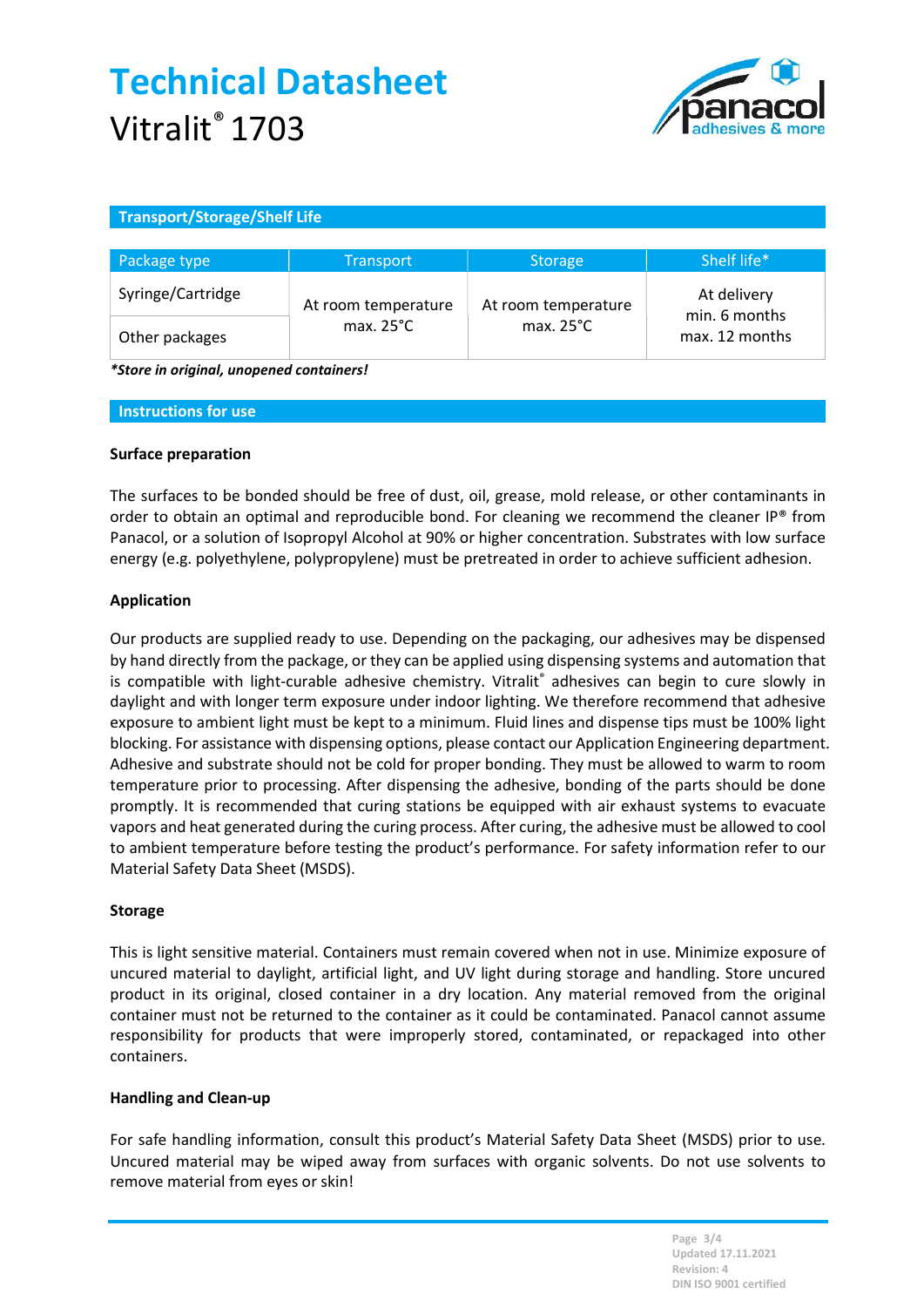

### Transport/Storage/Shelf Life

| Package type      | <b>Transport</b>                           | <b>Storage</b>                             | Shelf life*                     |
|-------------------|--------------------------------------------|--------------------------------------------|---------------------------------|
| Syringe/Cartridge | At room temperature<br>max. $25^{\circ}$ C | At room temperature<br>max. $25^{\circ}$ C | At delivery                     |
| Other packages    |                                            |                                            | min. 6 months<br>max. 12 months |

\*Store in original, unopened containers!

#### Instructions for use

#### Surface preparation

The surfaces to be bonded should be free of dust, oil, grease, mold release, or other contaminants in order to obtain an optimal and reproducible bond. For cleaning we recommend the cleaner IP® from Panacol, or a solution of Isopropyl Alcohol at 90% or higher concentration. Substrates with low surface energy (e.g. polyethylene, polypropylene) must be pretreated in order to achieve sufficient adhesion.

#### Application

Our products are supplied ready to use. Depending on the packaging, our adhesives may be dispensed by hand directly from the package, or they can be applied using dispensing systems and automation that is compatible with light-curable adhesive chemistry. Vitralit® adhesives can begin to cure slowly in daylight and with longer term exposure under indoor lighting. We therefore recommend that adhesive exposure to ambient light must be kept to a minimum. Fluid lines and dispense tips must be 100% light blocking. For assistance with dispensing options, please contact our Application Engineering department. Adhesive and substrate should not be cold for proper bonding. They must be allowed to warm to room temperature prior to processing. After dispensing the adhesive, bonding of the parts should be done promptly. It is recommended that curing stations be equipped with air exhaust systems to evacuate vapors and heat generated during the curing process. After curing, the adhesive must be allowed to cool to ambient temperature before testing the product's performance. For safety information refer to our Material Safety Data Sheet (MSDS).

#### Storage

This is light sensitive material. Containers must remain covered when not in use. Minimize exposure of uncured material to daylight, artificial light, and UV light during storage and handling. Store uncured product in its original, closed container in a dry location. Any material removed from the original container must not be returned to the container as it could be contaminated. Panacol cannot assume responsibility for products that were improperly stored, contaminated, or repackaged into other containers.

#### Handling and Clean-up

For safe handling information, consult this product's Material Safety Data Sheet (MSDS) prior to use. Uncured material may be wiped away from surfaces with organic solvents. Do not use solvents to remove material from eyes or skin!